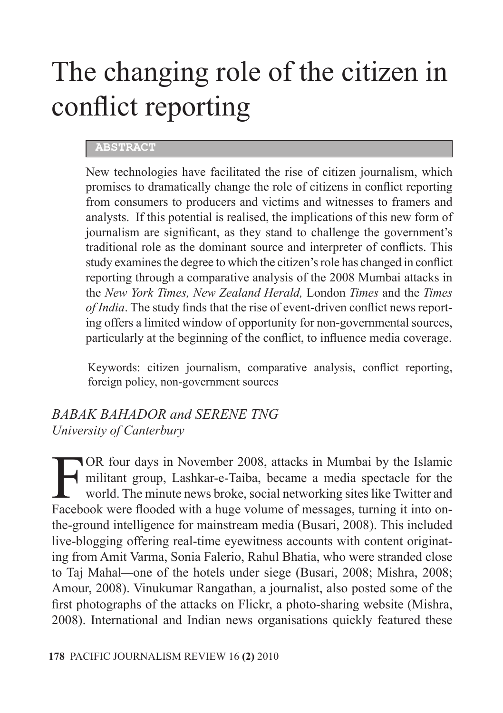# The changing role of the citizen in conflict reporting

### **ABSTRACT**

New technologies have facilitated the rise of citizen journalism, which promises to dramatically change the role of citizens in conflict reporting from consumers to producers and victims and witnesses to framers and analysts. If this potential is realised, the implications of this new form of journalism are significant, as they stand to challenge the government's traditional role as the dominant source and interpreter of conflicts. This study examines the degree to which the citizen's role has changed in conflict reporting through a comparative analysis of the 2008 Mumbai attacks in the *New York Times, New Zealand Herald,* London *Times* and the *Times of India*. The study finds that the rise of event-driven conflict news reporting offers a limited window of opportunity for non-governmental sources, particularly at the beginning of the conflict, to influence media coverage.

Keywords: citizen journalism, comparative analysis, conflict reporting, foreign policy, non-government sources

### *BABAK BAHADOR and SERENE TNG University of Canterbury*

FOR four days in November 2008, attacks in Mumbai by the Islamic militant group, Lashkar-e-Taiba, became a media spectacle for the world. The minute news broke, social networking sites like Twitter and Facebook were flooded with a huge volume of messages, turning it into onthe-ground intelligence for mainstream media (Busari, 2008). This included live-blogging offering real-time eyewitness accounts with content originating from Amit Varma, Sonia Falerio, Rahul Bhatia, who were stranded close to Taj Mahal*—*one of the hotels under siege (Busari, 2008; Mishra, 2008; Amour, 2008). Vinukumar Rangathan, a journalist, also posted some of the first photographs of the attacks on Flickr, a photo-sharing website (Mishra, 2008). International and Indian news organisations quickly featured these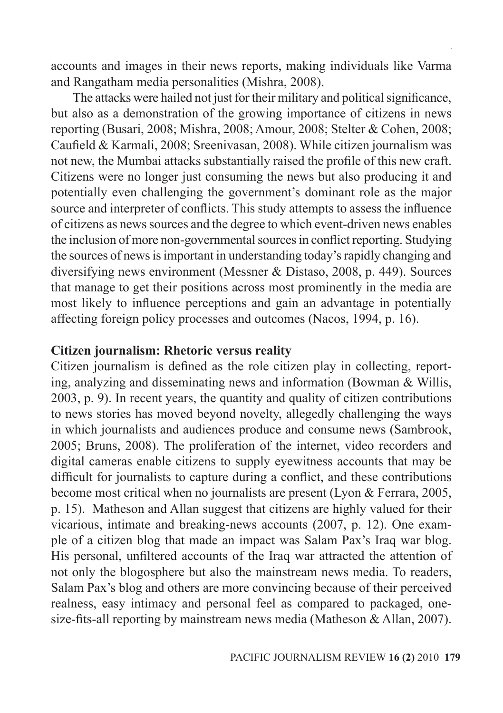accounts and images in their news reports, making individuals like Varma and Rangatham media personalities (Mishra, 2008).

The attacks were hailed not just for their military and political significance, but also as a demonstration of the growing importance of citizens in news reporting (Busari, 2008; Mishra, 2008; Amour, 2008; Stelter & Cohen, 2008; Caufield & Karmali, 2008; Sreenivasan, 2008). While citizen journalism was not new, the Mumbai attacks substantially raised the profile of this new craft. Citizens were no longer just consuming the news but also producing it and potentially even challenging the government's dominant role as the major source and interpreter of conflicts. This study attempts to assess the influence of citizens as news sources and the degree to which event-driven news enables the inclusion of more non-governmental sources in conflict reporting. Studying the sources of news is important in understanding today's rapidly changing and diversifying news environment (Messner & Distaso, 2008, p. 449). Sources that manage to get their positions across most prominently in the media are most likely to influence perceptions and gain an advantage in potentially affecting foreign policy processes and outcomes (Nacos, 1994, p. 16).

### **Citizen journalism: Rhetoric versus reality**

Citizen journalism is defined as the role citizen play in collecting, reporting, analyzing and disseminating news and information (Bowman & Willis, 2003, p. 9). In recent years, the quantity and quality of citizen contributions to news stories has moved beyond novelty, allegedly challenging the ways in which journalists and audiences produce and consume news (Sambrook, 2005; Bruns, 2008). The proliferation of the internet, video recorders and digital cameras enable citizens to supply eyewitness accounts that may be difficult for journalists to capture during a conflict, and these contributions become most critical when no journalists are present (Lyon & Ferrara, 2005, p. 15). Matheson and Allan suggest that citizens are highly valued for their vicarious, intimate and breaking-news accounts (2007, p. 12). One example of a citizen blog that made an impact was Salam Pax's Iraq war blog. His personal, unfiltered accounts of the Iraq war attracted the attention of not only the blogosphere but also the mainstream news media. To readers, Salam Pax's blog and others are more convincing because of their perceived realness, easy intimacy and personal feel as compared to packaged, onesize-fits-all reporting by mainstream news media (Matheson & Allan, 2007).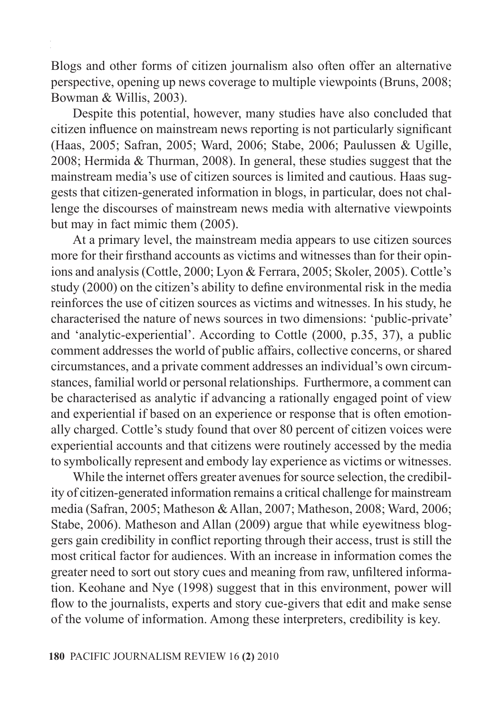Blogs and other forms of citizen journalism also often offer an alternative perspective, opening up news coverage to multiple viewpoints (Bruns, 2008; Bowman & Willis, 2003).

Despite this potential, however, many studies have also concluded that citizen influence on mainstream news reporting is not particularly significant (Haas, 2005; Safran, 2005; Ward, 2006; Stabe, 2006; Paulussen & Ugille, 2008; Hermida & Thurman, 2008). In general, these studies suggest that the mainstream media's use of citizen sources is limited and cautious. Haas suggests that citizen-generated information in blogs, in particular, does not challenge the discourses of mainstream news media with alternative viewpoints but may in fact mimic them (2005).

At a primary level, the mainstream media appears to use citizen sources more for their firsthand accounts as victims and witnesses than for their opinions and analysis (Cottle, 2000; Lyon & Ferrara, 2005; Skoler, 2005). Cottle's study (2000) on the citizen's ability to define environmental risk in the media reinforces the use of citizen sources as victims and witnesses. In his study, he characterised the nature of news sources in two dimensions: 'public-private' and 'analytic-experiential'. According to Cottle (2000, p.35, 37), a public comment addresses the world of public affairs, collective concerns, or shared circumstances, and a private comment addresses an individual's own circumstances, familial world or personal relationships. Furthermore, a comment can be characterised as analytic if advancing a rationally engaged point of view and experiential if based on an experience or response that is often emotionally charged. Cottle's study found that over 80 percent of citizen voices were experiential accounts and that citizens were routinely accessed by the media to symbolically represent and embody lay experience as victims or witnesses.

While the internet offers greater avenues for source selection, the credibility of citizen-generated information remains a critical challenge for mainstream media (Safran, 2005; Matheson & Allan, 2007; Matheson, 2008; Ward, 2006; Stabe, 2006). Matheson and Allan (2009) argue that while eyewitness bloggers gain credibility in conflict reporting through their access, trust is still the most critical factor for audiences. With an increase in information comes the greater need to sort out story cues and meaning from raw, unfiltered information. Keohane and Nye (1998) suggest that in this environment, power will flow to the journalists, experts and story cue-givers that edit and make sense of the volume of information. Among these interpreters, credibility is key.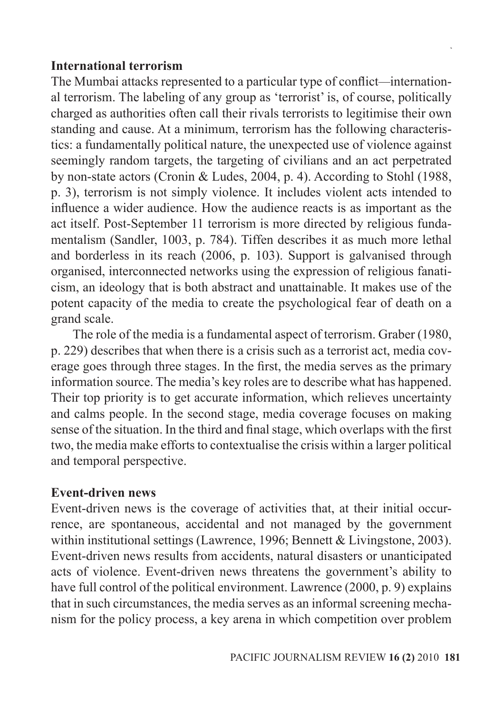### **International terrorism**

The Mumbai attacks represented to a particular type of conflict*—*international terrorism. The labeling of any group as 'terrorist' is, of course, politically charged as authorities often call their rivals terrorists to legitimise their own standing and cause. At a minimum, terrorism has the following characteristics: a fundamentally political nature, the unexpected use of violence against seemingly random targets, the targeting of civilians and an act perpetrated by non-state actors (Cronin & Ludes, 2004, p. 4). According to Stohl (1988, p. 3), terrorism is not simply violence. It includes violent acts intended to influence a wider audience. How the audience reacts is as important as the act itself. Post-September 11 terrorism is more directed by religious fundamentalism (Sandler, 1003, p. 784). Tiffen describes it as much more lethal and borderless in its reach (2006, p. 103). Support is galvanised through organised, interconnected networks using the expression of religious fanaticism, an ideology that is both abstract and unattainable. It makes use of the potent capacity of the media to create the psychological fear of death on a grand scale.

The role of the media is a fundamental aspect of terrorism. Graber (1980, p. 229) describes that when there is a crisis such as a terrorist act, media coverage goes through three stages. In the first, the media serves as the primary information source. The media's key roles are to describe what has happened. Their top priority is to get accurate information, which relieves uncertainty and calms people. In the second stage, media coverage focuses on making sense of the situation. In the third and final stage, which overlaps with the first two, the media make efforts to contextualise the crisis within a larger political and temporal perspective.

### **Event-driven news**

Event-driven news is the coverage of activities that, at their initial occurrence, are spontaneous, accidental and not managed by the government within institutional settings (Lawrence, 1996; Bennett & Livingstone, 2003). Event-driven news results from accidents, natural disasters or unanticipated acts of violence. Event-driven news threatens the government's ability to have full control of the political environment. Lawrence (2000, p. 9) explains that in such circumstances, the media serves as an informal screening mechanism for the policy process, a key arena in which competition over problem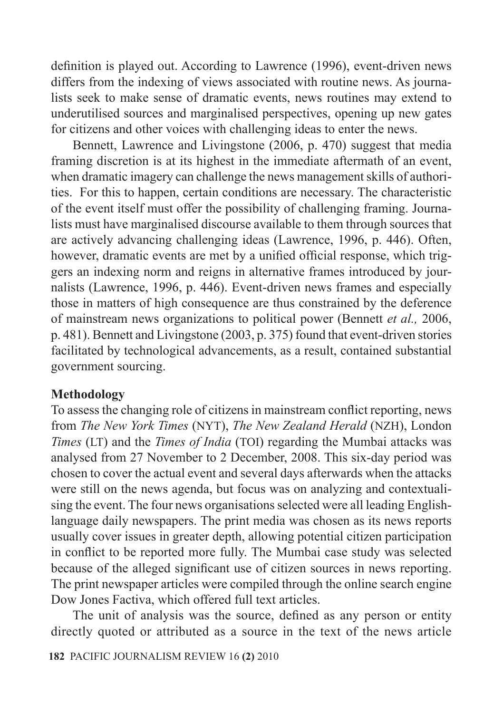definition is played out. According to Lawrence (1996), event-driven news differs from the indexing of views associated with routine news. As journalists seek to make sense of dramatic events, news routines may extend to underutilised sources and marginalised perspectives, opening up new gates for citizens and other voices with challenging ideas to enter the news.

Bennett, Lawrence and Livingstone (2006, p. 470) suggest that media framing discretion is at its highest in the immediate aftermath of an event, when dramatic imagery can challenge the news management skills of authorities. For this to happen, certain conditions are necessary. The characteristic of the event itself must offer the possibility of challenging framing. Journalists must have marginalised discourse available to them through sources that are actively advancing challenging ideas (Lawrence, 1996, p. 446). Often, however, dramatic events are met by a unified official response, which triggers an indexing norm and reigns in alternative frames introduced by journalists (Lawrence, 1996, p. 446). Event-driven news frames and especially those in matters of high consequence are thus constrained by the deference of mainstream news organizations to political power (Bennett *et al.,* 2006, p. 481). Bennett and Livingstone (2003, p. 375) found that event-driven stories facilitated by technological advancements, as a result, contained substantial government sourcing.

### **Methodology**

To assess the changing role of citizens in mainstream conflict reporting, news from *The New York Times* (NYT), *The New Zealand Herald* (NZH), London *Times* (LT) and the *Times of India* (TOI) regarding the Mumbai attacks was analysed from 27 November to 2 December, 2008. This six-day period was chosen to cover the actual event and several days afterwards when the attacks were still on the news agenda, but focus was on analyzing and contextualising the event. The four news organisations selected were all leading Englishlanguage daily newspapers. The print media was chosen as its news reports usually cover issues in greater depth, allowing potential citizen participation in conflict to be reported more fully. The Mumbai case study was selected because of the alleged significant use of citizen sources in news reporting. The print newspaper articles were compiled through the online search engine Dow Jones Factiva, which offered full text articles.

The unit of analysis was the source, defined as any person or entity directly quoted or attributed as a source in the text of the news article

**182** PACIFIC JOURNALISM REVIEW 16 **(2)** 2010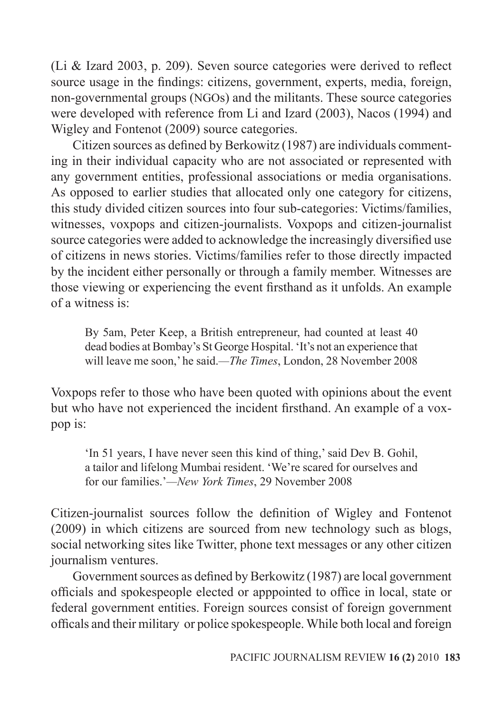(Li & Izard 2003, p. 209). Seven source categories were derived to reflect source usage in the findings: citizens, government, experts, media, foreign, non-governmental groups (NGOs) and the militants. These source categories were developed with reference from Li and Izard (2003), Nacos (1994) and Wigley and Fontenot (2009) source categories.

Citizen sources as defined by Berkowitz (1987) are individuals commenting in their individual capacity who are not associated or represented with any government entities, professional associations or media organisations. As opposed to earlier studies that allocated only one category for citizens, this study divided citizen sources into four sub-categories: Victims/families, witnesses, voxpops and citizen-journalists. Voxpops and citizen-journalist source categories were added to acknowledge the increasingly diversified use of citizens in news stories. Victims/families refer to those directly impacted by the incident either personally or through a family member. Witnesses are those viewing or experiencing the event firsthand as it unfolds. An example of a witness is:

By 5am, Peter Keep, a British entrepreneur, had counted at least 40 dead bodies at Bombay's St George Hospital. 'It's not an experience that will leave me soon,' he said.*—The Times*, London, 28 November 2008

Voxpops refer to those who have been quoted with opinions about the event but who have not experienced the incident firsthand. An example of a voxpop is:

'In 51 years, I have never seen this kind of thing,' said Dev B. Gohil, a tailor and lifelong Mumbai resident. 'We're scared for ourselves and for our families.'*—New York Times*, 29 November 2008

Citizen-journalist sources follow the definition of Wigley and Fontenot (2009) in which citizens are sourced from new technology such as blogs, social networking sites like Twitter, phone text messages or any other citizen journalism ventures.

Government sources as defined by Berkowitz (1987) are local government officials and spokespeople elected or apppointed to office in local, state or federal government entities. Foreign sources consist of foreign government officals and their military or police spokespeople. While both local and foreign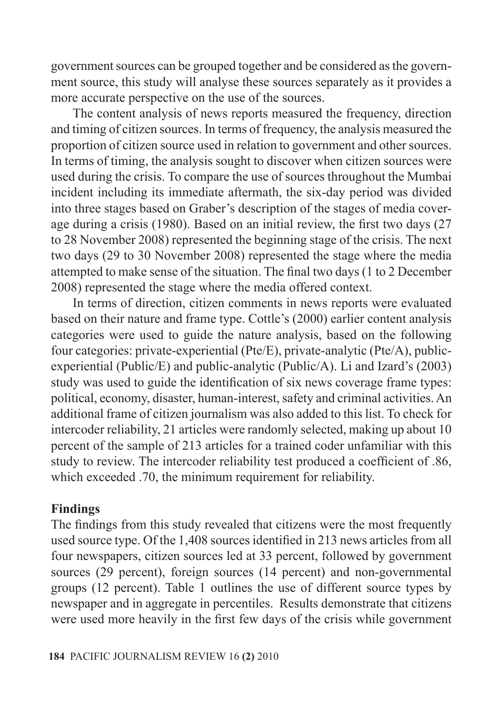government sources can be grouped together and be considered as the government source, this study will analyse these sources separately as it provides a more accurate perspective on the use of the sources.

The content analysis of news reports measured the frequency, direction and timing of citizen sources. In terms of frequency, the analysis measured the proportion of citizen source used in relation to government and other sources. In terms of timing, the analysis sought to discover when citizen sources were used during the crisis. To compare the use of sources throughout the Mumbai incident including its immediate aftermath, the six-day period was divided into three stages based on Graber's description of the stages of media coverage during a crisis (1980). Based on an initial review, the first two days (27 to 28 November 2008) represented the beginning stage of the crisis. The next two days (29 to 30 November 2008) represented the stage where the media attempted to make sense of the situation. The final two days (1 to 2 December 2008) represented the stage where the media offered context.

In terms of direction, citizen comments in news reports were evaluated based on their nature and frame type. Cottle's (2000) earlier content analysis categories were used to guide the nature analysis, based on the following four categories: private-experiential (Pte/E), private-analytic (Pte/A), publicexperiential (Public/E) and public-analytic (Public/A). Li and Izard's (2003) study was used to guide the identification of six news coverage frame types: political, economy, disaster, human-interest, safety and criminal activities. An additional frame of citizen journalism was also added to this list. To check for intercoder reliability, 21 articles were randomly selected, making up about 10 percent of the sample of 213 articles for a trained coder unfamiliar with this study to review. The intercoder reliability test produced a coefficient of .86, which exceeded .70, the minimum requirement for reliability.

### **Findings**

The findings from this study revealed that citizens were the most frequently used source type. Of the 1,408 sources identified in 213 news articles from all four newspapers, citizen sources led at 33 percent, followed by government sources (29 percent), foreign sources (14 percent) and non-governmental groups (12 percent). Table 1 outlines the use of different source types by newspaper and in aggregate in percentiles. Results demonstrate that citizens were used more heavily in the first few days of the crisis while government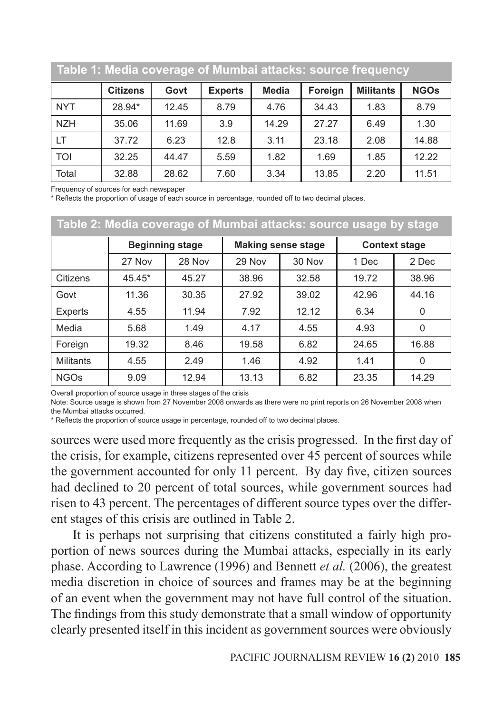|            | Table 1: Media coverage of Mumbai attacks: source frequency |       |                |       |         |                  |             |
|------------|-------------------------------------------------------------|-------|----------------|-------|---------|------------------|-------------|
|            | <b>Citizens</b>                                             | Govt  | <b>Experts</b> | Media | Foreign | <b>Militants</b> | <b>NGOs</b> |
| <b>NYT</b> | 28.94*                                                      | 12.45 | 8.79           | 4.76  | 34.43   | 1.83             | 8.79        |
| <b>NZH</b> | 35.06                                                       | 11.69 | 3.9            | 14.29 | 27.27   | 6.49             | 1.30        |
| <b>LT</b>  | 37.72                                                       | 6.23  | 12.8           | 3.11  | 23.18   | 2.08             | 14.88       |
| <b>TOI</b> | 32.25                                                       | 44.47 | 5.59           | 1.82  | 1.69    | 1.85             | 12.22       |
| Total      | 32.88                                                       | 28.62 | 7.60           | 3.34  | 13.85   | 2.20             | 11.51       |

Frequency of sources for each newspaper

\* Reflects the proportion of usage of each source in percentage, rounded off to two decimal places.

|                  |        | Table 2: Media coverage of Mumbai attacks: source usage by stage |        |                           |       |                      |
|------------------|--------|------------------------------------------------------------------|--------|---------------------------|-------|----------------------|
|                  |        | <b>Beginning stage</b>                                           |        | <b>Making sense stage</b> |       | <b>Context stage</b> |
|                  | 27 Nov | 28 Nov                                                           | 29 Nov | 30 Nov                    | 1 Dec | 2 Dec                |
| Citizens         | 45.45* | 45.27                                                            | 38.96  | 32.58                     | 19.72 | 38.96                |
| Govt             | 11.36  | 30.35                                                            | 27.92  | 39.02                     | 42.96 | 44.16                |
| Experts          | 4.55   | 11.94                                                            | 7.92   | 12.12                     | 6.34  | 0                    |
| Media            | 5.68   | 1.49                                                             | 4.17   | 4.55                      | 4.93  | 0                    |
| Foreign          | 19.32  | 8.46                                                             | 19.58  | 6.82                      | 24.65 | 16.88                |
| <b>Militants</b> | 4.55   | 2.49                                                             | 1.46   | 4.92                      | 1.41  | $\Omega$             |
| <b>NGOs</b>      | 9.09   | 12.94                                                            | 13.13  | 6.82                      | 23.35 | 14.29                |

Overall proportion of source usage in three stages of the crisis

Note: Source usage is shown from 27 November 2008 onwards as there were no print reports on 26 November 2008 when the Mumbai attacks occurred.

\* Reflects the proportion of source usage in percentage, rounded off to two decimal places.

sources were used more frequently as the crisis progressed. In the first day of the crisis, for example, citizens represented over 45 percent of sources while the government accounted for only 11 percent. By day five, citizen sources had declined to 20 percent of total sources, while government sources had risen to 43 percent. The percentages of different source types over the different stages of this crisis are outlined in Table 2.

It is perhaps not surprising that citizens constituted a fairly high proportion of news sources during the Mumbai attacks, especially in its early phase. According to Lawrence (1996) and Bennett *et al.* (2006), the greatest media discretion in choice of sources and frames may be at the beginning of an event when the government may not have full control of the situation. The findings from this study demonstrate that a small window of opportunity clearly presented itself in this incident as government sources were obviously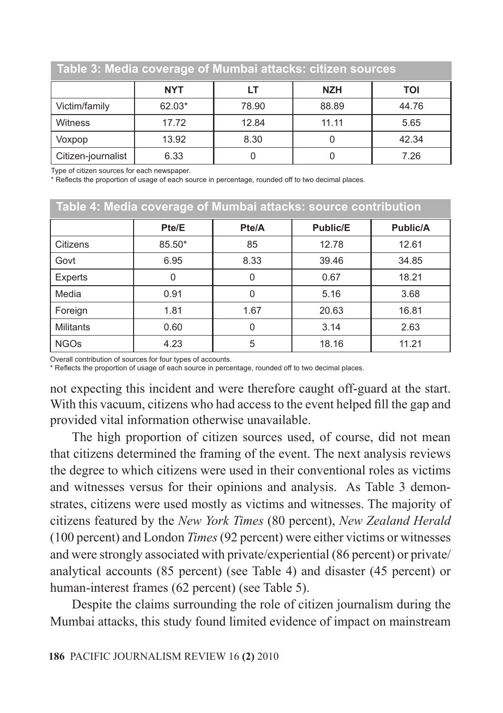| Table 3: Media coverage of Mumbai attacks: citizen sources |            |       |            |       |
|------------------------------------------------------------|------------|-------|------------|-------|
|                                                            | <b>NYT</b> | LT    | <b>NZH</b> | TOI   |
| Victim/family                                              | 62.03*     | 78.90 | 88.89      | 44.76 |
| Witness                                                    | 17.72      | 12.84 | 11.11      | 5.65  |
| Voxpop                                                     | 13.92      | 8.30  |            | 42.34 |
| Citizen-journalist                                         | 6.33       |       |            | 7.26  |

Type of citizen sources for each newspaper.

\* Reflects the proportion of usage of each source in percentage, rounded off to two decimal places.

|                  | Table 4: Media coverage of Mumbai attacks: source contribution |          |                 |                 |
|------------------|----------------------------------------------------------------|----------|-----------------|-----------------|
|                  | Pte/E                                                          | Pte/A    | <b>Public/E</b> | <b>Public/A</b> |
| Citizens         | 85.50*                                                         | 85       | 12.78           | 12.61           |
| Govt             | 6.95                                                           | 8.33     | 39.46           | 34.85           |
| Experts          | 0                                                              | $\Omega$ | 0.67            | 18.21           |
| Media            | 0.91                                                           | $\Omega$ | 5.16            | 3.68            |
| Foreign          | 1.81                                                           | 1.67     | 20.63           | 16.81           |
| <b>Militants</b> | 0.60                                                           |          | 3.14            | 2.63            |
| <b>NGOs</b>      | 4.23                                                           | 5        | 18.16           | 11.21           |

Overall contribution of sources for four types of accounts.

\* Reflects the proportion of usage of each source in percentage, rounded off to two decimal places.

not expecting this incident and were therefore caught off-guard at the start. With this vacuum, citizens who had access to the event helped fill the gap and provided vital information otherwise unavailable.

The high proportion of citizen sources used, of course, did not mean that citizens determined the framing of the event. The next analysis reviews the degree to which citizens were used in their conventional roles as victims and witnesses versus for their opinions and analysis. As Table 3 demonstrates, citizens were used mostly as victims and witnesses. The majority of citizens featured by the *New York Times* (80 percent), *New Zealand Herald* (100 percent) and London *Times* (92 percent) were either victims or witnesses and were strongly associated with private/experiential (86 percent) or private/ analytical accounts (85 percent) (see Table 4) and disaster (45 percent) or human-interest frames (62 percent) (see Table 5).

Despite the claims surrounding the role of citizen journalism during the Mumbai attacks, this study found limited evidence of impact on mainstream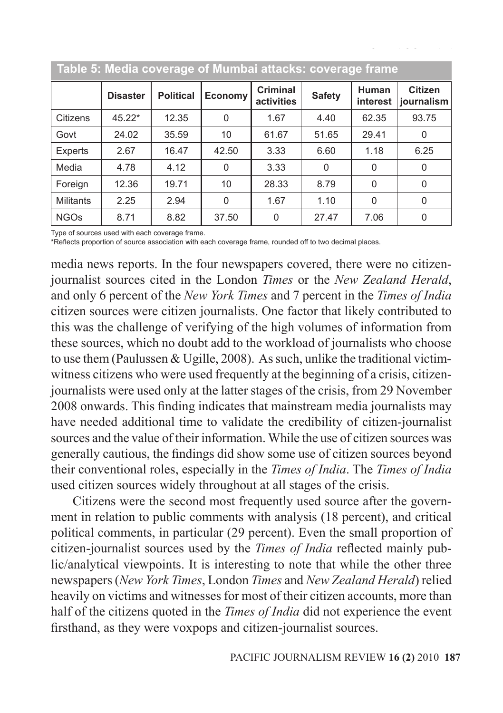|                  |                 |                  | Table 5: Media coverage of Mumbai attacks: coverage frame |                               |               |                   |                              |
|------------------|-----------------|------------------|-----------------------------------------------------------|-------------------------------|---------------|-------------------|------------------------------|
|                  | <b>Disaster</b> | <b>Political</b> | Economy                                                   | <b>Criminal</b><br>activities | <b>Safety</b> | Human<br>interest | <b>Citizen</b><br>journalism |
| Citizens         | 45.22*          | 12.35            | 0                                                         | 1.67                          | 4.40          | 62.35             | 93.75                        |
| Govt             | 24.02           | 35.59            | 10                                                        | 61.67                         | 51.65         | 29.41             | $\Omega$                     |
| Experts          | 2.67            | 16.47            | 42.50                                                     | 3.33                          | 6.60          | 1.18              | 6.25                         |
| Media            | 4.78            | 4.12             | 0                                                         | 3.33                          | 0             | $\Omega$          | $\Omega$                     |
| Foreign          | 12.36           | 19.71            | 10                                                        | 28.33                         | 8.79          | 0                 | $\Omega$                     |
| <b>Militants</b> | 2.25            | 2.94             | $\Omega$                                                  | 1.67                          | 1.10          | $\Omega$          | $\Omega$                     |
| <b>NGOs</b>      | 8.71            | 8.82             | 37.50                                                     | 0                             | 27.47         | 7.06              | 0                            |

Type of sources used with each coverage frame.

\*Reflects proportion of source association with each coverage frame, rounded off to two decimal places.

media news reports. In the four newspapers covered, there were no citizenjournalist sources cited in the London *Times* or the *New Zealand Herald*, and only 6 percent of the *New York Times* and 7 percent in the *Times of India* citizen sources were citizen journalists. One factor that likely contributed to this was the challenge of verifying of the high volumes of information from these sources, which no doubt add to the workload of journalists who choose to use them (Paulussen & Ugille, 2008). As such, unlike the traditional victimwitness citizens who were used frequently at the beginning of a crisis, citizenjournalists were used only at the latter stages of the crisis, from 29 November 2008 onwards. This finding indicates that mainstream media journalists may have needed additional time to validate the credibility of citizen-journalist sources and the value of their information. While the use of citizen sources was generally cautious, the findings did show some use of citizen sources beyond their conventional roles, especially in the *Times of India*. The *Times of India* used citizen sources widely throughout at all stages of the crisis.

Citizens were the second most frequently used source after the government in relation to public comments with analysis (18 percent), and critical political comments, in particular (29 percent). Even the small proportion of citizen-journalist sources used by the *Times of India* reflected mainly public/analytical viewpoints. It is interesting to note that while the other three newspapers (*New York Times*, London *Times* and *New Zealand Herald*) relied heavily on victims and witnesses for most of their citizen accounts, more than half of the citizens quoted in the *Times of India* did not experience the event firsthand, as they were voxpops and citizen-journalist sources.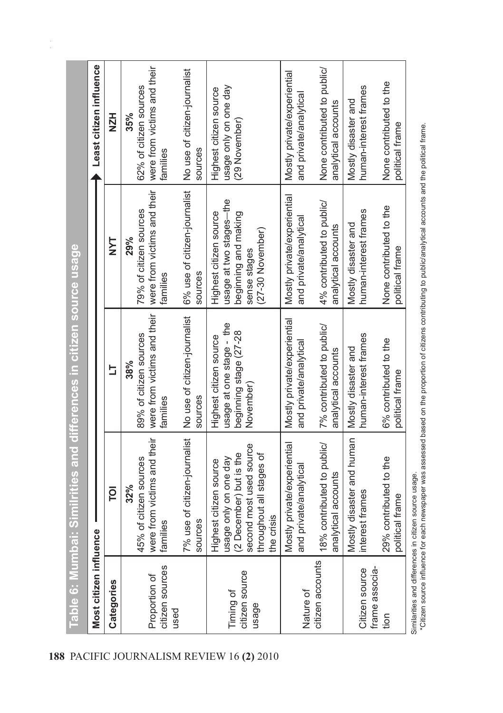| Most citizen influence                   | <u>Table 6: Mumbai: Similrities and differences in citizen source usage</u>                                                                     |                                                                                                          |                                                                                                               | Least citizen influence                                                                                 |
|------------------------------------------|-------------------------------------------------------------------------------------------------------------------------------------------------|----------------------------------------------------------------------------------------------------------|---------------------------------------------------------------------------------------------------------------|---------------------------------------------------------------------------------------------------------|
| Categories                               | ē                                                                                                                                               | s                                                                                                        | <b>TAN</b>                                                                                                    | <b>HZH</b>                                                                                              |
| citizen sources<br>Proportion of<br>used | 7% use of citizen-journalist<br>were from victims and their<br>45% of citizen sources<br>32%<br>families                                        | were from victims and their<br>No use of citizen-journalist<br>89% of citizen sources<br>38%<br>families | 6% use of citizen-journalist<br>were from victims and their<br>79% of citizen sources<br>29%<br>families      | were from victims and their<br>No use of citizen-journalist<br>62% of citizen sources<br>35%<br>amilies |
|                                          | sources                                                                                                                                         | sources                                                                                                  | sources                                                                                                       | sources                                                                                                 |
| citizen source<br>Timing of<br>usage     | second most used source<br>(2 December) but is the<br>throughout all stages of<br>usage only on one day<br>Highest citizen source<br>the crisis | usage at one stage - the<br>beginning stage (27-28<br>Highest citizen source<br>November                 | usage at two stages-the<br>Highest citizen source<br>beginning and making<br>(27-30 November)<br>sense stages | usage only on one day<br>Highest citizen source<br>(29 November)                                        |
| Nature of                                | Mostly private/experiential<br>and private/analytical                                                                                           | Mostly private/experiential<br>and private/analytical                                                    | Mostly private/experiential<br>and private/analytical                                                         | Mostly private/experiential<br>and private/analytical                                                   |
| citizen accounts                         | 18% contributed to public/<br>analytical accounts                                                                                               | 7% contributed to public/<br>analytical accounts                                                         | 4% contributed to public/<br>analytical accounts                                                              | None contributed to public/<br>analytical accounts                                                      |
| Citizen source                           | Mostly disaster and human<br>nterest frames                                                                                                     | numan-interest frames<br>Mostly disaster and                                                             | human-interest frames<br>Mostly disaster and                                                                  | human-interest frames<br>Mostly disaster and                                                            |
| frame associa-<br>tion                   | 29% contributed to the<br>political frame                                                                                                       | 6% contributed to the<br>political frame                                                                 | None contributed to the<br>political frame                                                                    | None contributed to the<br>political frame                                                              |
|                                          |                                                                                                                                                 |                                                                                                          |                                                                                                               |                                                                                                         |

Similarities and differences in citizen source usage.<br>\*Citizen source influence for each newspaper was assessed based on the proportion of citizens contributing to public/analytical and the political frame. \*Citizen source influence for each newspaper was assessed based on the proportion of citizens contributing to public/analytical accounts and the political frame.Similarities and differences in citizen source usage.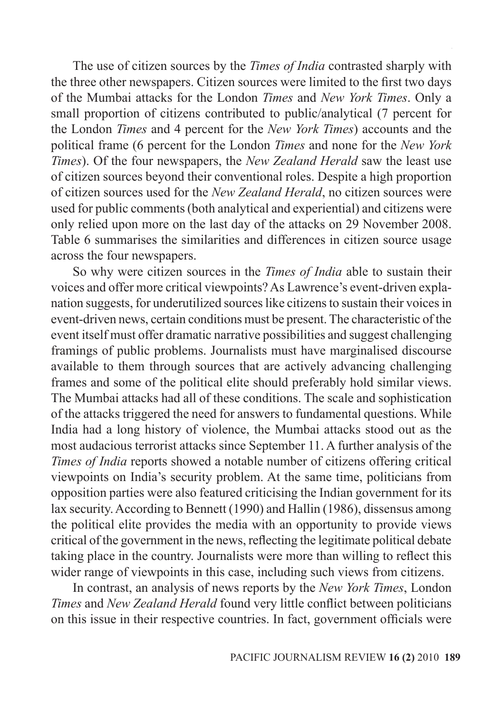The use of citizen sources by the *Times of India* contrasted sharply with the three other newspapers. Citizen sources were limited to the first two days of the Mumbai attacks for the London *Times* and *New York Times*. Only a small proportion of citizens contributed to public/analytical (7 percent for the London *Times* and 4 percent for the *New York Times*) accounts and the political frame (6 percent for the London *Times* and none for the *New York Times*). Of the four newspapers, the *New Zealand Herald* saw the least use of citizen sources beyond their conventional roles. Despite a high proportion of citizen sources used for the *New Zealand Herald*, no citizen sources were used for public comments (both analytical and experiential) and citizens were only relied upon more on the last day of the attacks on 29 November 2008. Table 6 summarises the similarities and differences in citizen source usage across the four newspapers.

So why were citizen sources in the *Times of India* able to sustain their voices and offer more critical viewpoints? As Lawrence's event-driven explanation suggests, for underutilized sources like citizens to sustain their voices in event-driven news, certain conditions must be present. The characteristic of the event itself must offer dramatic narrative possibilities and suggest challenging framings of public problems. Journalists must have marginalised discourse available to them through sources that are actively advancing challenging frames and some of the political elite should preferably hold similar views. The Mumbai attacks had all of these conditions. The scale and sophistication of the attacks triggered the need for answers to fundamental questions. While India had a long history of violence, the Mumbai attacks stood out as the most audacious terrorist attacks since September 11. A further analysis of the *Times of India* reports showed a notable number of citizens offering critical viewpoints on India's security problem. At the same time, politicians from opposition parties were also featured criticising the Indian government for its lax security. According to Bennett (1990) and Hallin (1986), dissensus among the political elite provides the media with an opportunity to provide views critical of the government in the news, reflecting the legitimate political debate taking place in the country. Journalists were more than willing to reflect this wider range of viewpoints in this case, including such views from citizens.

In contrast, an analysis of news reports by the *New York Times*, London *Times* and *New Zealand Herald* found very little conflict between politicians on this issue in their respective countries. In fact, government officials were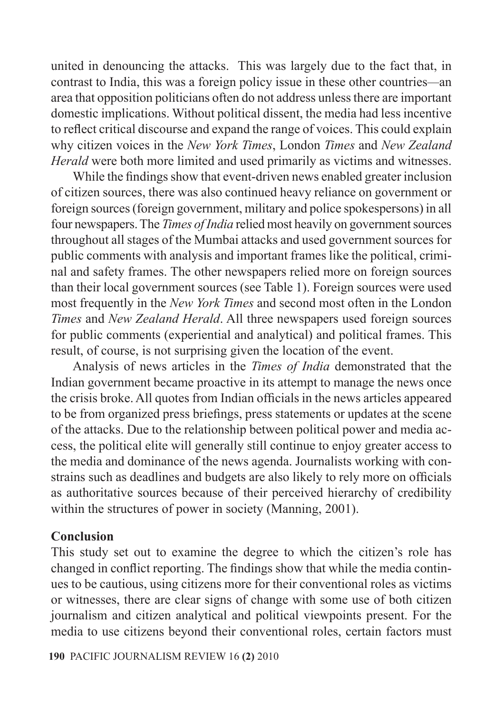united in denouncing the attacks. This was largely due to the fact that, in contrast to India, this was a foreign policy issue in these other countries*—*an area that opposition politicians often do not address unless there are important domestic implications. Without political dissent, the media had less incentive to reflect critical discourse and expand the range of voices. This could explain why citizen voices in the *New York Times*, London *Times* and *New Zealand Herald* were both more limited and used primarily as victims and witnesses.

While the findings show that event-driven news enabled greater inclusion of citizen sources, there was also continued heavy reliance on government or foreign sources (foreign government, military and police spokespersons) in all four newspapers. The *Times of India* relied most heavily on government sources throughout all stages of the Mumbai attacks and used government sources for public comments with analysis and important frames like the political, criminal and safety frames. The other newspapers relied more on foreign sources than their local government sources (see Table 1). Foreign sources were used most frequently in the *New York Times* and second most often in the London *Times* and *New Zealand Herald*. All three newspapers used foreign sources for public comments (experiential and analytical) and political frames. This result, of course, is not surprising given the location of the event.

Analysis of news articles in the *Times of India* demonstrated that the Indian government became proactive in its attempt to manage the news once the crisis broke. All quotes from Indian officials in the news articles appeared to be from organized press briefings, press statements or updates at the scene of the attacks. Due to the relationship between political power and media access, the political elite will generally still continue to enjoy greater access to the media and dominance of the news agenda. Journalists working with constrains such as deadlines and budgets are also likely to rely more on officials as authoritative sources because of their perceived hierarchy of credibility within the structures of power in society (Manning, 2001).

### **Conclusion**

This study set out to examine the degree to which the citizen's role has changed in conflict reporting. The findings show that while the media continues to be cautious, using citizens more for their conventional roles as victims or witnesses, there are clear signs of change with some use of both citizen journalism and citizen analytical and political viewpoints present. For the media to use citizens beyond their conventional roles, certain factors must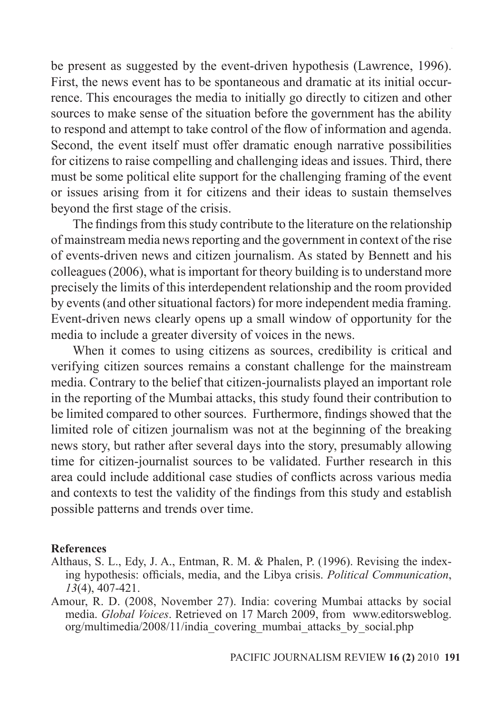be present as suggested by the event-driven hypothesis (Lawrence, 1996). First, the news event has to be spontaneous and dramatic at its initial occurrence. This encourages the media to initially go directly to citizen and other sources to make sense of the situation before the government has the ability to respond and attempt to take control of the flow of information and agenda. Second, the event itself must offer dramatic enough narrative possibilities for citizens to raise compelling and challenging ideas and issues. Third, there must be some political elite support for the challenging framing of the event or issues arising from it for citizens and their ideas to sustain themselves beyond the first stage of the crisis.

The findings from this study contribute to the literature on the relationship of mainstream media news reporting and the government in context of the rise of events-driven news and citizen journalism. As stated by Bennett and his colleagues (2006), what is important for theory building is to understand more precisely the limits of this interdependent relationship and the room provided by events (and other situational factors) for more independent media framing. Event-driven news clearly opens up a small window of opportunity for the media to include a greater diversity of voices in the news.

When it comes to using citizens as sources, credibility is critical and verifying citizen sources remains a constant challenge for the mainstream media. Contrary to the belief that citizen-journalists played an important role in the reporting of the Mumbai attacks, this study found their contribution to be limited compared to other sources. Furthermore, findings showed that the limited role of citizen journalism was not at the beginning of the breaking news story, but rather after several days into the story, presumably allowing time for citizen-journalist sources to be validated. Further research in this area could include additional case studies of conflicts across various media and contexts to test the validity of the findings from this study and establish possible patterns and trends over time.

### **References**

- Althaus, S. L., Edy, J. A., Entman, R. M. & Phalen, P. (1996). Revising the indexing hypothesis: officials, media, and the Libya crisis. *Political Communication*, *13*(4), 407-421.
- Amour, R. D. (2008, November 27). India: covering Mumbai attacks by social media. *Global Voices*. Retrieved on 17 March 2009, from www.editorsweblog. org/multimedia/2008/11/india\_covering\_mumbai\_attacks\_by\_social.php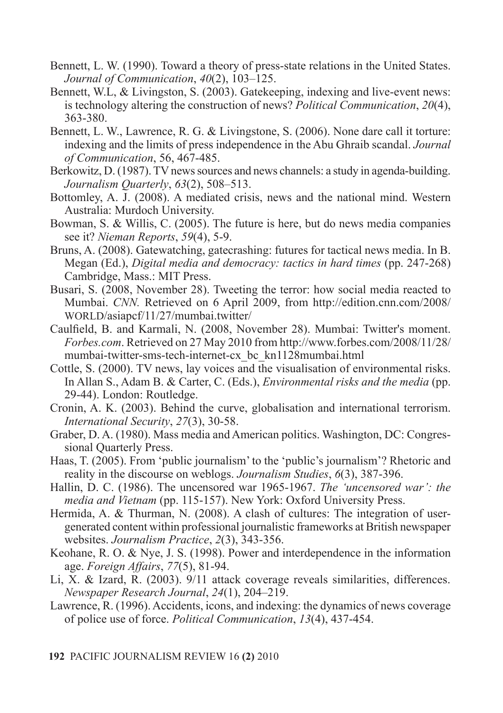- Bennett, L. W. (1990). Toward a theory of press-state relations in the United States. *Journal of Communication*, *40*(2), 103–125.
- Bennett, W.L, & Livingston, S. (2003). Gatekeeping, indexing and live-event news: is technology altering the construction of news? *Political Communication*, *20*(4), 363-380.
- Bennett, L. W., Lawrence, R. G. & Livingstone, S. (2006). None dare call it torture: indexing and the limits of press independence in the Abu Ghraib scandal. *Journal of Communication*, 56, 467-485.
- Berkowitz, D. (1987). TV news sources and news channels: a study in agenda-building. *Journalism Quarterly*, *63*(2), 508–513.
- Bottomley, A. J. (2008). A mediated crisis, news and the national mind. Western Australia: Murdoch University.
- Bowman, S. & Willis, C. (2005). The future is here, but do news media companies see it? *Nieman Reports*, *59*(4), 5-9.
- Bruns, A. (2008). Gatewatching, gatecrashing: futures for tactical news media. In B. Megan (Ed.), *Digital media and democracy: tactics in hard times* (pp. 247-268) Cambridge, Mass.: MIT Press.
- Busari, S. (2008, November 28). Tweeting the terror: how social media reacted to Mumbai. *CNN.* Retrieved on 6 April 2009, from http://edition.cnn.com/2008/ WORLD/asiapcf/11/27/mumbai.twitter/
- Caulfield, B. and Karmali, N. (2008, November 28). Mumbai: Twitter's moment. *Forbes.com*. Retrieved on 27 May 2010 from http://www.forbes.com/2008/11/28/ mumbai-twitter-sms-tech-internet-cx\_bc\_kn1128mumbai.html
- Cottle, S. (2000). TV news, lay voices and the visualisation of environmental risks. In Allan S., Adam B. & Carter, C. (Eds.), *Environmental risks and the media* (pp. 29-44). London: Routledge.
- Cronin, A. K. (2003). Behind the curve, globalisation and international terrorism. *International Security*, *27*(3), 30-58.
- Graber, D. A. (1980). Mass media and American politics. Washington, DC: Congressional Quarterly Press.
- Haas, T. (2005). From 'public journalism' to the 'public's journalism'? Rhetoric and reality in the discourse on weblogs. *Journalism Studies*, *6*(3), 387-396.
- Hallin, D. C. (1986). The uncensored war 1965-1967. *The 'uncensored war': the media and Vietnam* (pp. 115-157). New York: Oxford University Press.
- Hermida, A. & Thurman, N. (2008). A clash of cultures: The integration of usergenerated content within professional journalistic frameworks at British newspaper websites. *Journalism Practice*, *2*(3), 343-356.
- Keohane, R. O. & Nye, J. S. (1998). Power and interdependence in the information age. *Foreign Affairs*, *77*(5), 81-94.
- Li, X. & Izard, R. (2003). 9/11 attack coverage reveals similarities, differences. *Newspaper Research Journal*, *24*(1), 204–219.
- Lawrence, R. (1996). Accidents, icons, and indexing: the dynamics of news coverage of police use of force. *Political Communication*, *13*(4), 437-454.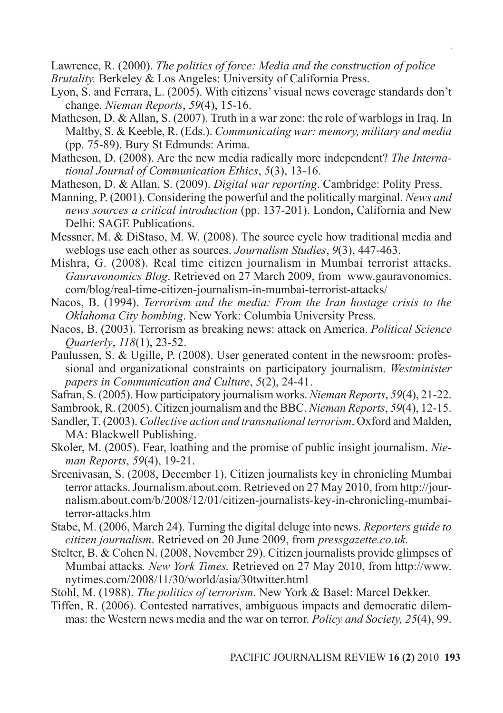Lawrence, R. (2000). *The politics of force: Media and the construction of police*

- *Brutality.* Berkeley & Los Angeles: University of California Press.
- Lyon, S. and Ferrara, L. (2005). With citizens' visual news coverage standards don't change. *Nieman Reports*, *59*(4), 15-16.
- Matheson, D. & Allan, S. (2007). Truth in a war zone: the role of warblogs in Iraq. In Maltby, S. & Keeble, R. (Eds.). *Communicating war: memory, military and media* (pp. 75-89). Bury St Edmunds: Arima.
- Matheson, D. (2008). Are the new media radically more independent? *The International Journal of Communication Ethics*, *5*(3), 13-16.
- Matheson, D. & Allan, S. (2009). *Digital war reporting*. Cambridge: Polity Press.
- Manning, P. (2001). Considering the powerful and the politically marginal. *News and news sources a critical introduction* (pp. 137-201). London, California and New Delhi: SAGE Publications.
- Messner, M. & DiStaso, M. W. (2008). The source cycle how traditional media and weblogs use each other as sources. *Journalism Studies*, *9*(3), 447-463.
- Mishra, G. (2008). Real time citizen journalism in Mumbai terrorist attacks. *Gauravonomics Blog*. Retrieved on 27 March 2009, from www.gauravonomics. com/blog/real-time-citizen-journalism-in-mumbai-terrorist-attacks/
- Nacos, B. (1994). *Terrorism and the media: From the Iran hostage crisis to the Oklahoma City bombing*. New York: Columbia University Press.
- Nacos, B. (2003). Terrorism as breaking news: attack on America. *Political Science Quarterly*, *118*(1), 23-52.
- Paulussen, S. & Ugille, P. (2008). User generated content in the newsroom: professional and organizational constraints on participatory journalism. *Westminister papers in Communication and Culture*, *5*(2), 24-41.
- Safran, S. (2005). How participatory journalism works. *Nieman Reports*, *59*(4), 21-22.

Sambrook, R. (2005). Citizen journalism and the BBC. *Nieman Reports*, *59*(4), 12-15.

- Sandler, T. (2003). *Collective action and transnational terrorism*. Oxford and Malden, MA: Blackwell Publishing.
- Skoler, M. (2005). Fear, loathing and the promise of public insight journalism. *Nieman Reports*, *59*(4), 19-21.
- Sreenivasan, S. (2008, December 1). Citizen journalists key in chronicling Mumbai terror attacks. Journalism.about.com. Retrieved on 27 May 2010, from http://journalism.about.com/b/2008/12/01/citizen-journalists-key-in-chronicling-mumbaiterror-attacks.htm
- Stabe, M. (2006, March 24). Turning the digital deluge into news. *Reporters guide to citizen journalism*. Retrieved on 20 June 2009, from *pressgazette.co.uk.*
- Stelter, B. & Cohen N. (2008, November 29). Citizen journalists provide glimpses of Mumbai attacks*. New York Times.* Retrieved on 27 May 2010, from http://www. nytimes.com/2008/11/30/world/asia/30twitter.html
- Stohl, M. (1988). *The politics of terrorism*. New York & Basel: Marcel Dekker.
- Tiffen, R. (2006). Contested narratives, ambiguous impacts and democratic dilemmas: the Western news media and the war on terror. *Policy and Society, 25*(4), 99.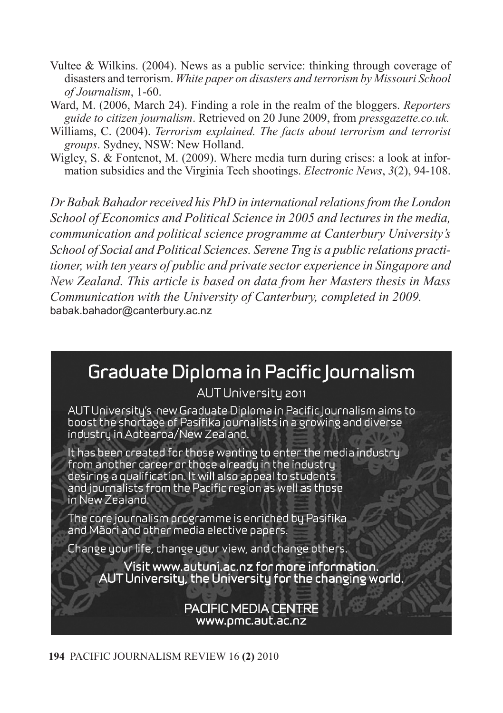- Vultee & Wilkins. (2004). News as a public service: thinking through coverage of disasters and terrorism. *White paper on disasters and terrorism by Missouri School of Journalism*, 1-60.
- Ward, M. (2006, March 24). Finding a role in the realm of the bloggers. *Reporters guide to citizen journalism*. Retrieved on 20 June 2009, from *pressgazette.co.uk.*
- Williams, C. (2004). *Terrorism explained. The facts about terrorism and terrorist groups*. Sydney, NSW: New Holland.
- Wigley, S. & Fontenot, M. (2009). Where media turn during crises: a look at information subsidies and the Virginia Tech shootings. *Electronic News*, *3*(2), 94-108.

*Dr Babak Bahadorreceived his PhD in internationalrelationsfrom the London School of Economics and Political Science in 2005 and lectures in the media, communication and political science programme at Canterbury University's School of Social and Political Sciences. Serene Tng is a public relations practitioner, with ten years of public and private sector experience in Singapore and New Zealand. This article is based on data from her Masters thesis in Mass Communication with the University of Canterbury, completed in 2009.* babak.bahador@canterbury.ac.nz

## Graduate Diploma in Pacific lournalism

### AUT University 2011

AUT University's new Graduate Diploma in Pacific lournalism aims to boost the shortage of Pasifika journalists in a growing and diverse industru in Aotearoa/New Zealand.

It has been created for those wanting to enter the media industry from another career or those already in the industry desiring a qualification. It will also appeal to students and journalists from the Pacific region as well as those in New Zealand.

The core journalism programme is enriched by Pasifika and Mäori and other media elective papers.

Change your life, change your view, and change others.

Visit www.autuni.ac.nz for more information. AUT University, the University for the changing world.

### **PACIFIC MEDIA CENTRE** www.pmc.aut.ac.nz

**194** PACIFIC JOURNALISM REVIEW 16 **(2)** 2010